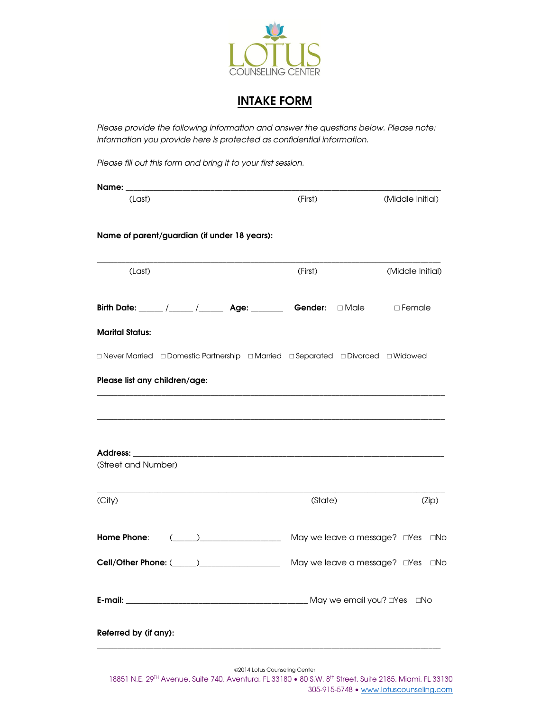

# **INTAKE FORM**

*Please provide the following information and answer the questions below. Please note: information you provide here is protected as confidential information.* 

*Please fill out this form and bring it to your first session.*

| (First) | (Middle Initial)                                                                                                                                                                                                                                                                                                                                                                                                                                            |
|---------|-------------------------------------------------------------------------------------------------------------------------------------------------------------------------------------------------------------------------------------------------------------------------------------------------------------------------------------------------------------------------------------------------------------------------------------------------------------|
|         |                                                                                                                                                                                                                                                                                                                                                                                                                                                             |
| (First) | (Middle Initial)                                                                                                                                                                                                                                                                                                                                                                                                                                            |
|         |                                                                                                                                                                                                                                                                                                                                                                                                                                                             |
|         |                                                                                                                                                                                                                                                                                                                                                                                                                                                             |
|         |                                                                                                                                                                                                                                                                                                                                                                                                                                                             |
|         |                                                                                                                                                                                                                                                                                                                                                                                                                                                             |
|         |                                                                                                                                                                                                                                                                                                                                                                                                                                                             |
|         |                                                                                                                                                                                                                                                                                                                                                                                                                                                             |
|         |                                                                                                                                                                                                                                                                                                                                                                                                                                                             |
|         |                                                                                                                                                                                                                                                                                                                                                                                                                                                             |
| (State) | (Zip)                                                                                                                                                                                                                                                                                                                                                                                                                                                       |
|         | ⊡No                                                                                                                                                                                                                                                                                                                                                                                                                                                         |
|         |                                                                                                                                                                                                                                                                                                                                                                                                                                                             |
|         |                                                                                                                                                                                                                                                                                                                                                                                                                                                             |
|         |                                                                                                                                                                                                                                                                                                                                                                                                                                                             |
|         | Birth Date: ____ /____ /_____ Age: ______ Gender: □ Male □ Female<br>$\Box$ Never Married $\Box$ Domestic Partnership $\Box$ Married $\Box$ Separated $\Box$ Divorced $\Box$ Widowed<br><u> 1989 - Johann Harry Harry Harry Harry Harry Harry Harry Harry Harry Harry Harry Harry Harry Harry Harry Harry</u><br>(_____)_______________________ May we leave a message? dives<br>Cell/Other Phone: (Collection 2010) [2010 May we leave a message? CYes CNo |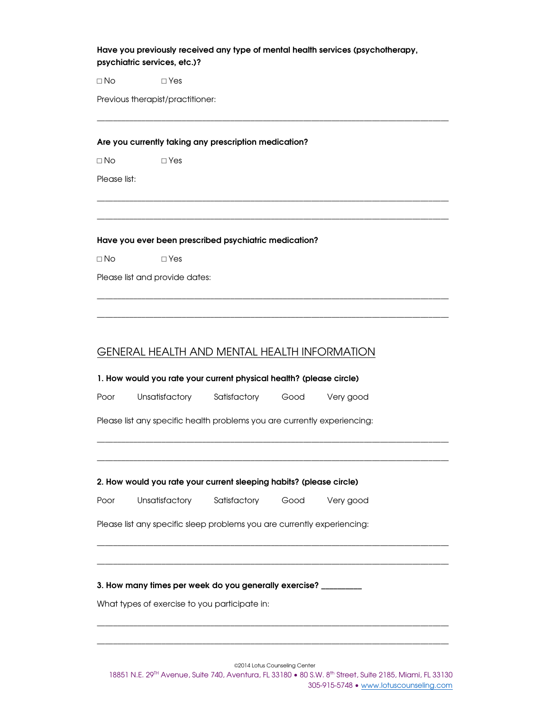## **Have you previously received any type of mental health services (psychotherapy, psychiatric services, etc.)?**

\_\_\_\_\_\_\_\_\_\_\_\_\_\_\_\_\_\_\_\_\_\_\_\_\_\_\_\_\_\_\_\_\_\_\_\_\_\_\_\_\_\_\_\_\_\_\_\_\_\_\_\_\_\_\_\_\_\_\_\_\_\_\_\_\_\_\_\_\_\_\_\_\_\_\_\_\_\_\_\_\_\_\_\_\_\_\_

\_\_\_\_\_\_\_\_\_\_\_\_\_\_\_\_\_\_\_\_\_\_\_\_\_\_\_\_\_\_\_\_\_\_\_\_\_\_\_\_\_\_\_\_\_\_\_\_\_\_\_\_\_\_\_\_\_\_\_\_\_\_\_\_\_\_\_\_\_\_\_\_\_\_\_\_\_\_\_\_\_\_\_\_\_\_\_

\_\_\_\_\_\_\_\_\_\_\_\_\_\_\_\_\_\_\_\_\_\_\_\_\_\_\_\_\_\_\_\_\_\_\_\_\_\_\_\_\_\_\_\_\_\_\_\_\_\_\_\_\_\_\_\_\_\_\_\_\_\_\_\_\_\_\_\_\_\_\_\_\_\_\_\_\_\_\_\_\_\_\_\_\_\_\_

\_\_\_\_\_\_\_\_\_\_\_\_\_\_\_\_\_\_\_\_\_\_\_\_\_\_\_\_\_\_\_\_\_\_\_\_\_\_\_\_\_\_\_\_\_\_\_\_\_\_\_\_\_\_\_\_\_\_\_\_\_\_\_\_\_\_\_\_\_\_\_\_\_\_\_\_\_\_\_\_\_\_\_\_\_\_\_

\_\_\_\_\_\_\_\_\_\_\_\_\_\_\_\_\_\_\_\_\_\_\_\_\_\_\_\_\_\_\_\_\_\_\_\_\_\_\_\_\_\_\_\_\_\_\_\_\_\_\_\_\_\_\_\_\_\_\_\_\_\_\_\_\_\_\_\_\_\_\_\_\_\_\_\_\_\_\_\_\_\_\_\_\_\_\_

\_\_\_\_\_\_\_\_\_\_\_\_\_\_\_\_\_\_\_\_\_\_\_\_\_\_\_\_\_\_\_\_\_\_\_\_\_\_\_\_\_\_\_\_\_\_\_\_\_\_\_\_\_\_\_\_\_\_\_\_\_\_\_\_\_\_\_\_\_\_\_\_\_\_\_\_\_\_\_\_\_\_\_\_\_\_\_

\_\_\_\_\_\_\_\_\_\_\_\_\_\_\_\_\_\_\_\_\_\_\_\_\_\_\_\_\_\_\_\_\_\_\_\_\_\_\_\_\_\_\_\_\_\_\_\_\_\_\_\_\_\_\_\_\_\_\_\_\_\_\_\_\_\_\_\_\_\_\_\_\_\_\_\_\_\_\_\_\_\_\_\_\_\_\_

\_\_\_\_\_\_\_\_\_\_\_\_\_\_\_\_\_\_\_\_\_\_\_\_\_\_\_\_\_\_\_\_\_\_\_\_\_\_\_\_\_\_\_\_\_\_\_\_\_\_\_\_\_\_\_\_\_\_\_\_\_\_\_\_\_\_\_\_\_\_\_\_\_\_\_\_\_\_\_\_\_\_\_\_\_\_\_

\_\_\_\_\_\_\_\_\_\_\_\_\_\_\_\_\_\_\_\_\_\_\_\_\_\_\_\_\_\_\_\_\_\_\_\_\_\_\_\_\_\_\_\_\_\_\_\_\_\_\_\_\_\_\_\_\_\_\_\_\_\_\_\_\_\_\_\_\_\_\_\_\_\_\_\_\_\_\_\_\_\_\_\_\_\_\_

 $\Box$  No  $\Box$  Yes

Previous therapist/practitioner:

## **Are you currently taking any prescription medication?**

□ No □ Yes

Please list:

## **Have you ever been prescribed psychiatric medication?**

 $\Box$  No  $\Box$  Yes

Please list and provide dates:

## GENERAL HEALTH AND MENTAL HEALTH INFORMATION

**1. How would you rate your current physical health? (please circle)** 

Poor Unsatisfactory Satisfactory Good Very good

Please list any specific health problems you are currently experiencing:

## **2. How would you rate your current sleeping habits? (please circle)**

Poor Unsatisfactory Satisfactory Good Very good

Please list any specific sleep problems you are currently experiencing:

**3. How many times per week do you generally exercise? \_\_\_\_\_\_\_\_\_\_** 

What types of exercise to you participate in:

©2014 Lotus Counseling Center

\_\_\_\_\_\_\_\_\_\_\_\_\_\_\_\_\_\_\_\_\_\_\_\_\_\_\_\_\_\_\_\_\_\_\_\_\_\_\_\_\_\_\_\_\_\_\_\_\_\_\_\_\_\_\_\_\_\_\_\_\_\_\_\_\_\_\_\_\_\_\_\_\_\_\_\_\_\_\_\_\_\_\_\_\_\_\_

\_\_\_\_\_\_\_\_\_\_\_\_\_\_\_\_\_\_\_\_\_\_\_\_\_\_\_\_\_\_\_\_\_\_\_\_\_\_\_\_\_\_\_\_\_\_\_\_\_\_\_\_\_\_\_\_\_\_\_\_\_\_\_\_\_\_\_\_\_\_\_\_\_\_\_\_\_\_\_\_\_\_\_\_\_\_\_

18851 N.E. 29TH Avenue, Suite 740, Aventura, FL 33180 • 80 S.W. 8th Street, Suite 2185, Miami, FL 33130 305-915-5748 • www.lotuscounseling.com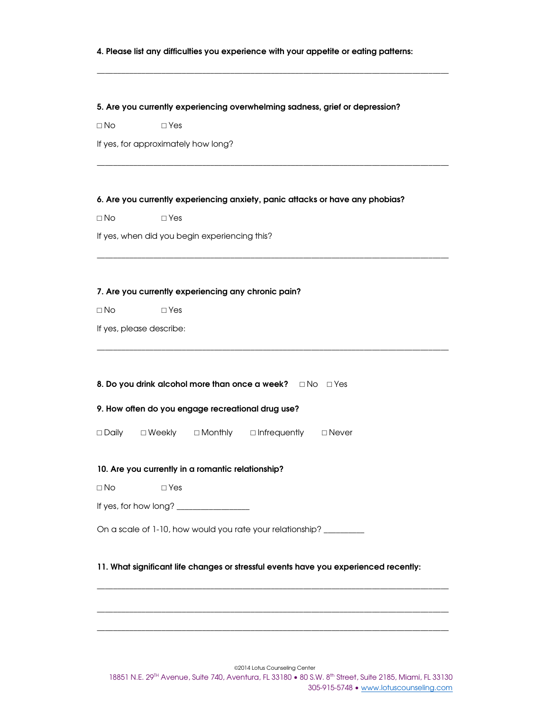## **4. Please list any difficulties you experience with your appetite or eating patterns:**

\_\_\_\_\_\_\_\_\_\_\_\_\_\_\_\_\_\_\_\_\_\_\_\_\_\_\_\_\_\_\_\_\_\_\_\_\_\_\_\_\_\_\_\_\_\_\_\_\_\_\_\_\_\_\_\_\_\_\_\_\_\_\_\_\_\_\_\_\_\_\_\_\_\_\_\_\_\_\_\_\_\_\_\_\_\_\_

\_\_\_\_\_\_\_\_\_\_\_\_\_\_\_\_\_\_\_\_\_\_\_\_\_\_\_\_\_\_\_\_\_\_\_\_\_\_\_\_\_\_\_\_\_\_\_\_\_\_\_\_\_\_\_\_\_\_\_\_\_\_\_\_\_\_\_\_\_\_\_\_\_\_\_\_\_\_\_\_\_\_\_\_\_\_\_

\_\_\_\_\_\_\_\_\_\_\_\_\_\_\_\_\_\_\_\_\_\_\_\_\_\_\_\_\_\_\_\_\_\_\_\_\_\_\_\_\_\_\_\_\_\_\_\_\_\_\_\_\_\_\_\_\_\_\_\_\_\_\_\_\_\_\_\_\_\_\_\_\_\_\_\_\_\_\_\_\_\_\_\_\_\_\_

\_\_\_\_\_\_\_\_\_\_\_\_\_\_\_\_\_\_\_\_\_\_\_\_\_\_\_\_\_\_\_\_\_\_\_\_\_\_\_\_\_\_\_\_\_\_\_\_\_\_\_\_\_\_\_\_\_\_\_\_\_\_\_\_\_\_\_\_\_\_\_\_\_\_\_\_\_\_\_\_\_\_\_\_\_\_\_

#### **5. Are you currently experiencing overwhelming sadness, grief or depression?**

□ No □ Yes

If yes, for approximately how long?

#### **6. Are you currently experiencing anxiety, panic attacks or have any phobias?**

□ No □ Yes

If yes, when did you begin experiencing this?

## **7. Are you currently experiencing any chronic pain?**

□ No □ Yes

If yes, please describe:

|  |  | 8. Do you drink alcohol more than once a week? $\Box$ No $\Box$ Yes |  |  |
|--|--|---------------------------------------------------------------------|--|--|
|--|--|---------------------------------------------------------------------|--|--|

**9. How often do you engage recreational drug use?**

□ Daily □ Weekly □ Monthly □ Infrequently □ Never

### **10. Are you currently in a romantic relationship?**

□ No □ Yes

If yes, for how long? \_\_\_\_\_\_\_\_\_\_\_\_\_\_\_\_\_\_

On a scale of 1-10, how would you rate your relationship? \_\_\_\_\_\_\_\_\_

## **11. What significant life changes or stressful events have you experienced recently:**

\_\_\_\_\_\_\_\_\_\_\_\_\_\_\_\_\_\_\_\_\_\_\_\_\_\_\_\_\_\_\_\_\_\_\_\_\_\_\_\_\_\_\_\_\_\_\_\_\_\_\_\_\_\_\_\_\_\_\_\_\_\_\_\_\_\_\_\_\_\_\_\_\_\_\_\_\_\_\_\_\_\_\_\_\_\_\_

\_\_\_\_\_\_\_\_\_\_\_\_\_\_\_\_\_\_\_\_\_\_\_\_\_\_\_\_\_\_\_\_\_\_\_\_\_\_\_\_\_\_\_\_\_\_\_\_\_\_\_\_\_\_\_\_\_\_\_\_\_\_\_\_\_\_\_\_\_\_\_\_\_\_\_\_\_\_\_\_\_\_\_\_\_\_\_

\_\_\_\_\_\_\_\_\_\_\_\_\_\_\_\_\_\_\_\_\_\_\_\_\_\_\_\_\_\_\_\_\_\_\_\_\_\_\_\_\_\_\_\_\_\_\_\_\_\_\_\_\_\_\_\_\_\_\_\_\_\_\_\_\_\_\_\_\_\_\_\_\_\_\_\_\_\_\_\_\_\_\_\_\_\_\_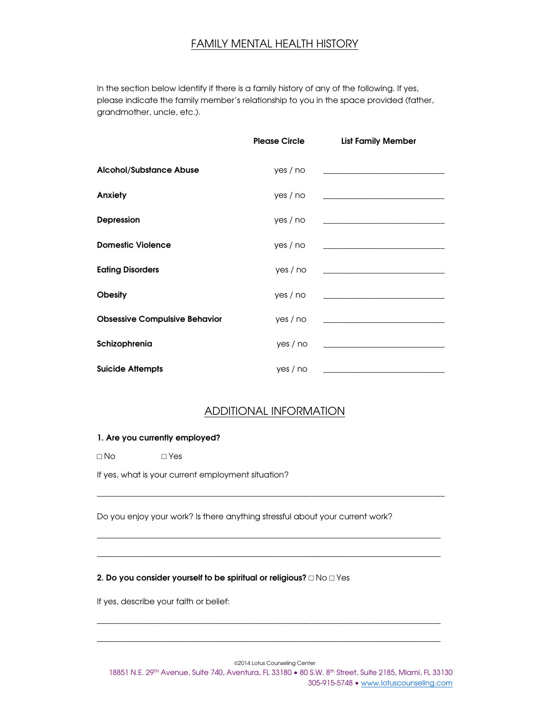## FAMILY MENTAL HEALTH HISTORY

In the section below identify if there is a family history of any of the following. If yes, please indicate the family member's relationship to you in the space provided (father, grandmother, uncle, etc.).

|                                      | <b>Please Circle</b> | <b>List Family Member</b>                                                                                             |
|--------------------------------------|----------------------|-----------------------------------------------------------------------------------------------------------------------|
| <b>Alcohol/Substance Abuse</b>       | yes / no             | <u> 1989 - Andrea Stadt Britain, amerikansk politiker (</u>                                                           |
| Anxiety                              | yes / no             | <u> 1989 - Johann John Stone, market fan it ferstjer fan it ferstjer fan it ferstjer fan it ferstjer fan it fers</u>  |
| <b>Depression</b>                    | yes / no             | the control of the control of the control of the control of the control of                                            |
| <b>Domestic Violence</b>             | yes / no             |                                                                                                                       |
| <b>Eating Disorders</b>              | yes / no             |                                                                                                                       |
| <b>Obesity</b>                       | yes / no             |                                                                                                                       |
| <b>Obsessive Compulsive Behavior</b> | yes / no             | <u> 1989 - Johann Harry Harry Harry Harry Harry Harry Harry Harry Harry Harry Harry Harry Harry Harry Harry Harry</u> |
| Schizophrenia                        | yes / no             |                                                                                                                       |
| <b>Suicide Attempts</b>              | yes / no             |                                                                                                                       |

## ADDITIONAL INFORMATION

\_\_\_\_\_\_\_\_\_\_\_\_\_\_\_\_\_\_\_\_\_\_\_\_\_\_\_\_\_\_\_\_\_\_\_\_\_\_\_\_\_\_\_\_\_\_\_\_\_\_\_\_\_\_\_\_\_\_\_\_\_\_\_\_\_\_\_\_\_\_\_\_\_\_\_\_\_\_\_\_\_\_\_\_\_\_

\_\_\_\_\_\_\_\_\_\_\_\_\_\_\_\_\_\_\_\_\_\_\_\_\_\_\_\_\_\_\_\_\_\_\_\_\_\_\_\_\_\_\_\_\_\_\_\_\_\_\_\_\_\_\_\_\_\_\_\_\_\_\_\_\_\_\_\_\_\_\_\_\_\_\_\_\_\_\_\_\_\_\_\_\_

\_\_\_\_\_\_\_\_\_\_\_\_\_\_\_\_\_\_\_\_\_\_\_\_\_\_\_\_\_\_\_\_\_\_\_\_\_\_\_\_\_\_\_\_\_\_\_\_\_\_\_\_\_\_\_\_\_\_\_\_\_\_\_\_\_\_\_\_\_\_\_\_\_\_\_\_\_\_\_\_\_\_\_\_\_

\_\_\_\_\_\_\_\_\_\_\_\_\_\_\_\_\_\_\_\_\_\_\_\_\_\_\_\_\_\_\_\_\_\_\_\_\_\_\_\_\_\_\_\_\_\_\_\_\_\_\_\_\_\_\_\_\_\_\_\_\_\_\_\_\_\_\_\_\_\_\_\_\_\_\_\_\_\_\_\_\_\_\_\_\_

\_\_\_\_\_\_\_\_\_\_\_\_\_\_\_\_\_\_\_\_\_\_\_\_\_\_\_\_\_\_\_\_\_\_\_\_\_\_\_\_\_\_\_\_\_\_\_\_\_\_\_\_\_\_\_\_\_\_\_\_\_\_\_\_\_\_\_\_\_\_\_\_\_\_\_\_\_\_\_\_\_\_\_\_\_

## **1. Are you currently employed?**

□ No □ Yes

If yes, what is your current employment situation?

Do you enjoy your work? Is there anything stressful about your current work?

## **2. Do you consider yourself to be spiritual or religious?** □ No □ Yes

If yes, describe your faith or belief:

©2014 Lotus Counseling Center

18851 N.E. 29<sup>TH</sup> Avenue, Suite 740, Aventura, FL 33180 • 80 S.W. 8<sup>th</sup> Street, Suite 2185, Miami, FL 33130 305-915-5748 • www.lotuscounseling.com